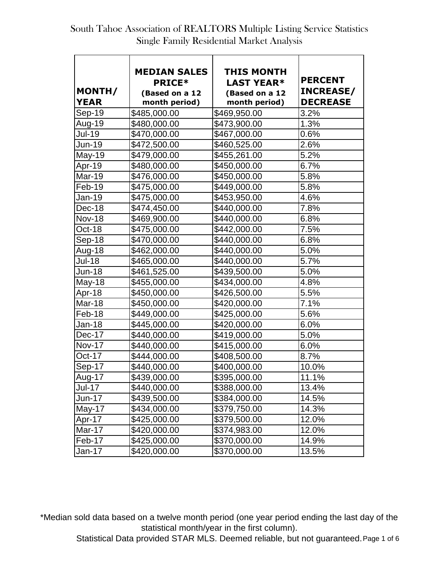|               | <b>MEDIAN SALES</b> | THIS MONTH        |                  |
|---------------|---------------------|-------------------|------------------|
|               | <b>PRICE*</b>       | <b>LAST YEAR*</b> | <b>PERCENT</b>   |
| MONTH/        | (Based on a 12      | (Based on a 12    | <b>INCREASE/</b> |
| <b>YEAR</b>   | month period)       | month period)     | <b>DECREASE</b>  |
| Sep-19        | \$485,000.00        | \$469,950.00      | 3.2%             |
| Aug-19        | \$480,000.00        | \$473,900.00      | 1.3%             |
| <b>Jul-19</b> | \$470,000.00        | \$467,000.00      | 0.6%             |
| <b>Jun-19</b> | \$472,500.00        | \$460,525.00      | 2.6%             |
| May-19        | \$479,000.00        | \$455,261.00      | 5.2%             |
| Apr-19        | \$480,000.00        | \$450,000.00      | 6.7%             |
| Mar-19        | \$476,000.00        | \$450,000.00      | 5.8%             |
| Feb-19        | \$475,000.00        | \$449,000.00      | 5.8%             |
| Jan-19        | \$475,000.00        | \$453,950.00      | 4.6%             |
| Dec-18        | \$474,450.00        | \$440,000.00      | 7.8%             |
| <b>Nov-18</b> | \$469,900.00        | \$440,000.00      | 6.8%             |
| Oct-18        | \$475,000.00        | \$442,000.00      | 7.5%             |
| Sep-18        | \$470,000.00        | \$440,000.00      | 6.8%             |
| Aug-18        | \$462,000.00        | \$440,000.00      | 5.0%             |
| <b>Jul-18</b> | \$465,000.00        | \$440,000.00      | 5.7%             |
| <b>Jun-18</b> | \$461,525.00        | \$439,500.00      | 5.0%             |
| <b>May-18</b> | \$455,000.00        | \$434,000.00      | 4.8%             |
| Apr-18        | \$450,000.00        | \$426,500.00      | 5.5%             |
| Mar-18        | \$450,000.00        | \$420,000.00      | 7.1%             |
| Feb-18        | \$449,000.00        | \$425,000.00      | 5.6%             |
| Jan-18        | \$445,000.00        | \$420,000.00      | 6.0%             |
| Dec-17        | \$440,000.00        | \$419,000.00      | 5.0%             |
| <b>Nov-17</b> | \$440,000.00        | \$415,000.00      | 6.0%             |
| Oct-17        | \$444,000.00        | \$408,500.00      | 8.7%             |
| Sep-17        | \$440,000.00        | \$400,000.00      | 10.0%            |
| Aug-17        | \$439,000.00        | \$395,000.00      | 11.1%            |
| <b>Jul-17</b> | \$440,000.00        | \$388,000.00      | 13.4%            |
| <b>Jun-17</b> | \$439,500.00        | \$384,000.00      | 14.5%            |
| May-17        | \$434,000.00        | \$379,750.00      | 14.3%            |
| Apr-17        | \$425,000.00        | \$379,500.00      | 12.0%            |
| Mar-17        | \$420,000.00        | \$374,983.00      | 12.0%            |
| Feb-17        | \$425,000.00        | \$370,000.00      | 14.9%            |
| Jan-17        | \$420,000.00        | \$370,000.00      | 13.5%            |

\*Median sold data based on a twelve month period (one year period ending the last day of the statistical month/year in the first column).

Statistical Data provided STAR MLS. Deemed reliable, but not guaranteed.Page 1 of 6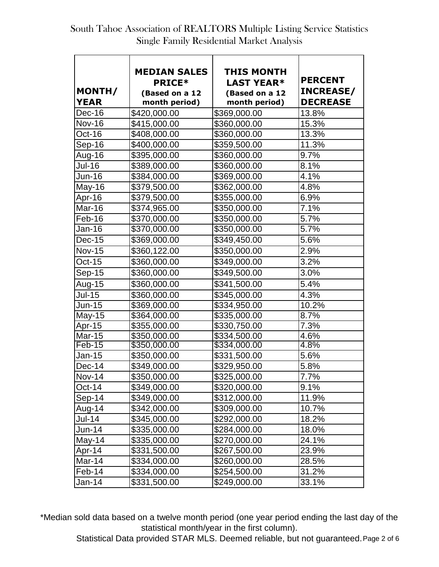| MONTH/<br><b>YEAR</b> | <b>MEDIAN SALES</b><br><b>PRICE*</b><br>(Based on a 12<br>month period) | THIS MONTH<br><b>LAST YEAR*</b><br>(Based on a 12<br>month period) | <b>PERCENT</b><br><b>INCREASE/</b><br><b>DECREASE</b> |
|-----------------------|-------------------------------------------------------------------------|--------------------------------------------------------------------|-------------------------------------------------------|
| Dec-16                | \$420,000.00                                                            | \$369,000.00                                                       | 13.8%                                                 |
| <b>Nov-16</b>         | \$415,000.00                                                            | \$360,000.00                                                       | 15.3%                                                 |
| Oct-16                | \$408,000.00                                                            | \$360,000.00                                                       | 13.3%                                                 |
| Sep-16                | \$400,000.00                                                            | \$359,500.00                                                       | 11.3%                                                 |
| Aug-16                | \$395,000.00                                                            | \$360,000.00                                                       | 9.7%                                                  |
| Jul-16                | \$389,000.00                                                            | \$360,000.00                                                       | 8.1%                                                  |
| Jun-16                | \$384,000.00                                                            | \$369,000.00                                                       | 4.1%                                                  |
| $May-16$              | \$379,500.00                                                            | \$362,000.00                                                       | 4.8%                                                  |
| Apr-16                | \$379,500.00                                                            | \$355,000.00                                                       | 6.9%                                                  |
| Mar-16                | \$374,965.00                                                            | \$350,000.00                                                       | 7.1%                                                  |
| Feb-16                | \$370,000.00                                                            | \$350,000.00                                                       | 5.7%                                                  |
| Jan-16                | \$370,000.00                                                            | \$350,000.00                                                       | 5.7%                                                  |
| Dec-15                | \$369,000.00                                                            | \$349,450.00                                                       | 5.6%                                                  |
| <b>Nov-15</b>         | \$360,122.00                                                            | \$350,000.00                                                       | 2.9%                                                  |
| Oct-15                | \$360,000.00                                                            | \$349,000.00                                                       | 3.2%                                                  |
| <b>Sep-15</b>         | \$360,000.00                                                            | \$349,500.00                                                       | 3.0%                                                  |
| Aug-15                | \$360,000.00                                                            | \$341,500.00                                                       | 5.4%                                                  |
| <b>Jul-15</b>         | \$360,000.00                                                            | \$345,000.00                                                       | 4.3%                                                  |
| Jun-15                | \$369,000.00                                                            | \$334,950.00                                                       | 10.2%                                                 |
| $May-15$              | \$364,000.00                                                            | \$335,000.00                                                       | 8.7%                                                  |
| Apr-15                | \$355,000.00                                                            | \$330,750.00                                                       | 7.3%                                                  |
| Mar-15                | \$350,000.00                                                            | \$334,500.00                                                       | 4.6%                                                  |
| Feb-15                | \$350,000.00                                                            | \$334,000.00                                                       | 4.8%                                                  |
| Jan-15                | \$350,000.00                                                            | \$331,500.00                                                       | 5.6%                                                  |
| Dec-14                | \$349,000.00                                                            | \$329,950.00                                                       | 5.8%                                                  |
| <b>Nov-14</b>         | \$350,000.00                                                            | \$325,000.00                                                       | 7.7%                                                  |
| Oct-14                | \$349,000.00                                                            | \$320,000.00                                                       | 9.1%                                                  |
| Sep-14                | \$349,000.00                                                            | \$312,000.00                                                       | 11.9%                                                 |
| Aug-14                | \$342,000.00                                                            | \$309,000.00                                                       | 10.7%                                                 |
| <b>Jul-14</b>         | \$345,000.00                                                            | \$292,000.00                                                       | 18.2%                                                 |
| Jun-14                | \$335,000.00                                                            | \$284,000.00                                                       | 18.0%                                                 |
| May-14                | \$335,000.00                                                            | \$270,000.00                                                       | 24.1%                                                 |
| Apr-14                | \$331,500.00                                                            | \$267,500.00                                                       | 23.9%                                                 |
| Mar-14                | \$334,000.00                                                            | \$260,000.00                                                       | 28.5%                                                 |
| Feb-14                | \$334,000.00                                                            | \$254,500.00                                                       | 31.2%                                                 |
| Jan-14                | \$331,500.00                                                            | \$249,000.00                                                       | 33.1%                                                 |

\*Median sold data based on a twelve month period (one year period ending the last day of the statistical month/year in the first column).

Statistical Data provided STAR MLS. Deemed reliable, but not guaranteed.Page 2 of 6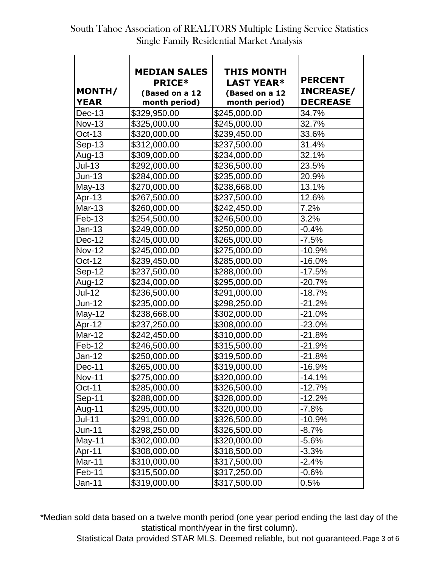| MONTH/<br><b>YEAR</b> | <b>MEDIAN SALES</b><br><b>PRICE*</b><br>(Based on a 12<br>month period) | THIS MONTH<br><b>LAST YEAR*</b><br>(Based on a 12<br>month period) | <b>PERCENT</b><br><b>INCREASE/</b><br><b>DECREASE</b> |
|-----------------------|-------------------------------------------------------------------------|--------------------------------------------------------------------|-------------------------------------------------------|
| Dec-13                | \$329,950.00                                                            | \$245,000.00                                                       | 34.7%                                                 |
| <b>Nov-13</b>         | \$325,000.00                                                            | \$245,000.00                                                       | 32.7%                                                 |
| Oct-13                | \$320,000.00                                                            | \$239,450.00                                                       | 33.6%                                                 |
| $Sep-13$              | \$312,000.00                                                            | \$237,500.00                                                       | 31.4%                                                 |
| Aug-13                | \$309,000.00                                                            | \$234,000.00                                                       | 32.1%                                                 |
| <b>Jul-13</b>         | \$292,000.00                                                            | \$236,500.00                                                       | 23.5%                                                 |
| Jun-13                | \$284,000.00                                                            | \$235,000.00                                                       | 20.9%                                                 |
| $May-13$              | \$270,000.00                                                            | \$238,668.00                                                       | 13.1%                                                 |
| Apr-13                | \$267,500.00                                                            | \$237,500.00                                                       | 12.6%                                                 |
| <b>Mar-13</b>         | \$260,000.00                                                            | \$242,450.00                                                       | 7.2%                                                  |
| Feb-13                | \$254,500.00                                                            | \$246,500.00                                                       | 3.2%                                                  |
| Jan-13                | \$249,000.00                                                            | \$250,000.00                                                       | $-0.4%$                                               |
| Dec-12                | \$245,000.00                                                            | \$265,000.00                                                       | $-7.5%$                                               |
| <b>Nov-12</b>         | \$245,000.00                                                            | \$275,000.00                                                       | $-10.9%$                                              |
| Oct-12                | \$239,450.00                                                            | \$285,000.00                                                       | $-16.0%$                                              |
| Sep-12                | \$237,500.00                                                            | \$288,000.00                                                       | $-17.5%$                                              |
| Aug-12                | \$234,000.00                                                            | \$295,000.00                                                       | $-20.7%$                                              |
| <b>Jul-12</b>         | \$236,500.00                                                            | \$291,000.00                                                       | $-18.7%$                                              |
| Jun-12                | \$235,000.00                                                            | \$298,250.00                                                       | $-21.2%$                                              |
| May-12                | \$238,668.00                                                            | \$302,000.00                                                       | $-21.0%$                                              |
| Apr-12                | \$237,250.00                                                            | \$308,000.00                                                       | $-23.0%$                                              |
| Mar-12                | \$242,450.00                                                            | \$310,000.00                                                       | $-21.8%$                                              |
| Feb-12                | \$246,500.00                                                            | \$315,500.00                                                       | $-21.9%$                                              |
| Jan-12                | \$250,000.00                                                            | \$319,500.00                                                       | $-21.8%$                                              |
| Dec-11                | \$265,000.00                                                            | \$319,000.00                                                       | $-16.9%$                                              |
| <b>Nov-11</b>         | \$275,000.00                                                            | \$320,000.00                                                       | $-14.1%$                                              |
| Oct-11                | \$285,000.00                                                            | \$326,500.00                                                       | $-12.7%$                                              |
| Sep-11                | \$288,000.00                                                            | \$328,000.00                                                       | $-12.2%$                                              |
| Aug-11                | \$295,000.00                                                            | \$320,000.00                                                       | $-7.8\%$                                              |
| <b>Jul-11</b>         | \$291,000.00                                                            | \$326,500.00                                                       | $-10.9%$                                              |
| Jun-11                | \$298,250.00                                                            | \$326,500.00                                                       | $-8.7%$                                               |
| $May-11$              | \$302,000.00                                                            | \$320,000.00                                                       | $-5.6%$                                               |
| Apr-11                | \$308,000.00                                                            | \$318,500.00                                                       | $-3.3%$                                               |
| Mar-11                | \$310,000.00                                                            | \$317,500.00                                                       | $-2.4%$                                               |
| Feb-11                | \$315,500.00                                                            | \$317,250.00                                                       | $-0.6%$                                               |
| Jan-11                | \$319,000.00                                                            | \$317,500.00                                                       | 0.5%                                                  |

\*Median sold data based on a twelve month period (one year period ending the last day of the statistical month/year in the first column).

Statistical Data provided STAR MLS. Deemed reliable, but not guaranteed.Page 3 of 6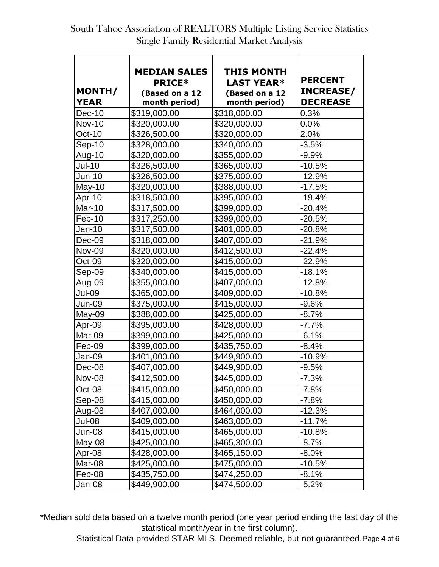| <b>MEDIAN SALES</b> | THIS MONTH                                                                                                                                                                                                                                                                                                                                                                                                                                                                       |                                                                                                                                                                                                                                                                                                                                                                                                                                                                                      |
|---------------------|----------------------------------------------------------------------------------------------------------------------------------------------------------------------------------------------------------------------------------------------------------------------------------------------------------------------------------------------------------------------------------------------------------------------------------------------------------------------------------|--------------------------------------------------------------------------------------------------------------------------------------------------------------------------------------------------------------------------------------------------------------------------------------------------------------------------------------------------------------------------------------------------------------------------------------------------------------------------------------|
|                     |                                                                                                                                                                                                                                                                                                                                                                                                                                                                                  | <b>PERCENT</b>                                                                                                                                                                                                                                                                                                                                                                                                                                                                       |
|                     |                                                                                                                                                                                                                                                                                                                                                                                                                                                                                  | <b>INCREASE/</b><br><b>DECREASE</b>                                                                                                                                                                                                                                                                                                                                                                                                                                                  |
|                     |                                                                                                                                                                                                                                                                                                                                                                                                                                                                                  |                                                                                                                                                                                                                                                                                                                                                                                                                                                                                      |
|                     |                                                                                                                                                                                                                                                                                                                                                                                                                                                                                  | 0.3%                                                                                                                                                                                                                                                                                                                                                                                                                                                                                 |
|                     |                                                                                                                                                                                                                                                                                                                                                                                                                                                                                  | 0.0%                                                                                                                                                                                                                                                                                                                                                                                                                                                                                 |
|                     |                                                                                                                                                                                                                                                                                                                                                                                                                                                                                  | 2.0%                                                                                                                                                                                                                                                                                                                                                                                                                                                                                 |
|                     |                                                                                                                                                                                                                                                                                                                                                                                                                                                                                  | $-3.5%$                                                                                                                                                                                                                                                                                                                                                                                                                                                                              |
|                     |                                                                                                                                                                                                                                                                                                                                                                                                                                                                                  | $-9.9%$                                                                                                                                                                                                                                                                                                                                                                                                                                                                              |
|                     |                                                                                                                                                                                                                                                                                                                                                                                                                                                                                  | $-10.5%$                                                                                                                                                                                                                                                                                                                                                                                                                                                                             |
|                     |                                                                                                                                                                                                                                                                                                                                                                                                                                                                                  | $-12.9%$                                                                                                                                                                                                                                                                                                                                                                                                                                                                             |
|                     |                                                                                                                                                                                                                                                                                                                                                                                                                                                                                  | $-17.5%$                                                                                                                                                                                                                                                                                                                                                                                                                                                                             |
|                     |                                                                                                                                                                                                                                                                                                                                                                                                                                                                                  | $-19.4%$                                                                                                                                                                                                                                                                                                                                                                                                                                                                             |
|                     |                                                                                                                                                                                                                                                                                                                                                                                                                                                                                  | $-20.4%$                                                                                                                                                                                                                                                                                                                                                                                                                                                                             |
|                     |                                                                                                                                                                                                                                                                                                                                                                                                                                                                                  | $-20.5%$                                                                                                                                                                                                                                                                                                                                                                                                                                                                             |
|                     |                                                                                                                                                                                                                                                                                                                                                                                                                                                                                  | $-20.8%$                                                                                                                                                                                                                                                                                                                                                                                                                                                                             |
|                     |                                                                                                                                                                                                                                                                                                                                                                                                                                                                                  | $-21.9%$                                                                                                                                                                                                                                                                                                                                                                                                                                                                             |
|                     |                                                                                                                                                                                                                                                                                                                                                                                                                                                                                  | $-22.4%$                                                                                                                                                                                                                                                                                                                                                                                                                                                                             |
|                     |                                                                                                                                                                                                                                                                                                                                                                                                                                                                                  | $-22.9%$                                                                                                                                                                                                                                                                                                                                                                                                                                                                             |
|                     |                                                                                                                                                                                                                                                                                                                                                                                                                                                                                  | $-18.1%$                                                                                                                                                                                                                                                                                                                                                                                                                                                                             |
| \$355,000.00        | \$407,000.00                                                                                                                                                                                                                                                                                                                                                                                                                                                                     | $-12.8%$                                                                                                                                                                                                                                                                                                                                                                                                                                                                             |
| \$365,000.00        | \$409,000.00                                                                                                                                                                                                                                                                                                                                                                                                                                                                     | $-10.8%$                                                                                                                                                                                                                                                                                                                                                                                                                                                                             |
| \$375,000.00        | \$415,000.00                                                                                                                                                                                                                                                                                                                                                                                                                                                                     | $-9.6%$                                                                                                                                                                                                                                                                                                                                                                                                                                                                              |
| \$388,000.00        | \$425,000.00                                                                                                                                                                                                                                                                                                                                                                                                                                                                     | $-8.7%$                                                                                                                                                                                                                                                                                                                                                                                                                                                                              |
| \$395,000.00        | \$428,000.00                                                                                                                                                                                                                                                                                                                                                                                                                                                                     | $-7.7%$                                                                                                                                                                                                                                                                                                                                                                                                                                                                              |
| \$399,000.00        | \$425,000.00                                                                                                                                                                                                                                                                                                                                                                                                                                                                     | $-6.1%$                                                                                                                                                                                                                                                                                                                                                                                                                                                                              |
| \$399,000.00        | \$435,750.00                                                                                                                                                                                                                                                                                                                                                                                                                                                                     | $-8.4%$                                                                                                                                                                                                                                                                                                                                                                                                                                                                              |
| \$401,000.00        | \$449,900.00                                                                                                                                                                                                                                                                                                                                                                                                                                                                     | $-10.9%$                                                                                                                                                                                                                                                                                                                                                                                                                                                                             |
| \$407,000.00        | \$449,900.00                                                                                                                                                                                                                                                                                                                                                                                                                                                                     | $-9.5%$                                                                                                                                                                                                                                                                                                                                                                                                                                                                              |
| \$412,500.00        | \$445,000.00                                                                                                                                                                                                                                                                                                                                                                                                                                                                     | $-7.3%$                                                                                                                                                                                                                                                                                                                                                                                                                                                                              |
|                     |                                                                                                                                                                                                                                                                                                                                                                                                                                                                                  | $-7.8%$                                                                                                                                                                                                                                                                                                                                                                                                                                                                              |
|                     |                                                                                                                                                                                                                                                                                                                                                                                                                                                                                  | $-7.8%$                                                                                                                                                                                                                                                                                                                                                                                                                                                                              |
|                     |                                                                                                                                                                                                                                                                                                                                                                                                                                                                                  | $-12.3%$                                                                                                                                                                                                                                                                                                                                                                                                                                                                             |
|                     |                                                                                                                                                                                                                                                                                                                                                                                                                                                                                  | $-11.7%$                                                                                                                                                                                                                                                                                                                                                                                                                                                                             |
|                     |                                                                                                                                                                                                                                                                                                                                                                                                                                                                                  | $-10.8%$                                                                                                                                                                                                                                                                                                                                                                                                                                                                             |
|                     |                                                                                                                                                                                                                                                                                                                                                                                                                                                                                  | $-8.7%$                                                                                                                                                                                                                                                                                                                                                                                                                                                                              |
|                     |                                                                                                                                                                                                                                                                                                                                                                                                                                                                                  | $-8.0\%$                                                                                                                                                                                                                                                                                                                                                                                                                                                                             |
|                     |                                                                                                                                                                                                                                                                                                                                                                                                                                                                                  | $-10.5%$                                                                                                                                                                                                                                                                                                                                                                                                                                                                             |
|                     |                                                                                                                                                                                                                                                                                                                                                                                                                                                                                  | $-8.1%$                                                                                                                                                                                                                                                                                                                                                                                                                                                                              |
|                     |                                                                                                                                                                                                                                                                                                                                                                                                                                                                                  | $-5.2%$                                                                                                                                                                                                                                                                                                                                                                                                                                                                              |
|                     | <b>PRICE*</b><br>(Based on a 12<br>month period)<br>\$319,000.00<br>\$320,000.00<br>\$326,500.00<br>\$328,000.00<br>\$320,000.00<br>\$326,500.00<br>\$326,500.00<br>\$320,000.00<br>\$318,500.00<br>\$317,500.00<br>\$317,250.00<br>\$317,500.00<br>\$318,000.00<br>\$320,000.00<br>\$320,000.00<br>\$340,000.00<br>\$415,000.00<br>\$415,000.00<br>\$407,000.00<br>\$409,000.00<br>\$415,000.00<br>\$425,000.00<br>\$428,000.00<br>\$425,000.00<br>\$435,750.00<br>\$449,900.00 | <b>LAST YEAR*</b><br>(Based on a 12<br>month period)<br>\$318,000.00<br>\$320,000.00<br>\$320,000.00<br>\$340,000.00<br>\$355,000.00<br>\$365,000.00<br>\$375,000.00<br>\$388,000.00<br>\$395,000.00<br>\$399,000.00<br>\$399,000.00<br>\$401,000.00<br>\$407,000.00<br>\$412,500.00<br>\$415,000.00<br>\$415,000.00<br>\$450,000.00<br>\$450,000.00<br>\$464,000.00<br>\$463,000.00<br>\$465,000.00<br>\$465,300.00<br>\$465,150.00<br>\$475,000.00<br>\$474,250.00<br>\$474,500.00 |

\*Median sold data based on a twelve month period (one year period ending the last day of the statistical month/year in the first column).

Statistical Data provided STAR MLS. Deemed reliable, but not guaranteed.Page 4 of 6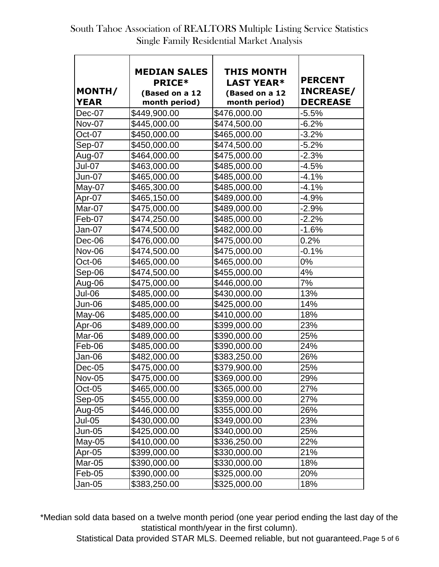| MONTH/        | <b>MEDIAN SALES</b><br><b>PRICE*</b><br>(Based on a 12 | THIS MONTH<br><b>LAST YEAR*</b><br>(Based on a 12 | <b>PERCENT</b><br><b>INCREASE/</b> |
|---------------|--------------------------------------------------------|---------------------------------------------------|------------------------------------|
| <b>YEAR</b>   | month period)                                          | month period)                                     | <b>DECREASE</b>                    |
| Dec-07        | \$449,900.00                                           | \$476,000.00                                      | $-5.5%$                            |
| <b>Nov-07</b> | \$445,000.00                                           | \$474,500.00                                      | $-6.2%$                            |
| Oct-07        | \$450,000.00                                           | \$465,000.00                                      | $-3.2%$                            |
| Sep-07        | \$450,000.00                                           | \$474,500.00                                      | $-5.2%$                            |
| Aug-07        | \$464,000.00                                           | \$475,000.00                                      | $-2.3%$                            |
| Jul-07        | \$463,000.00                                           | \$485,000.00                                      | $-4.5%$                            |
| Jun-07        | \$465,000.00                                           | \$485,000.00                                      | $-4.1%$                            |
| May-07        | \$465,300.00                                           | \$485,000.00                                      | $-4.1%$                            |
| Apr-07        | \$465,150.00                                           | \$489,000.00                                      | $-4.9%$                            |
| Mar-07        | \$475,000.00                                           | \$489,000.00                                      | $-2.9%$                            |
| Feb-07        | \$474,250.00                                           | \$485,000.00                                      | $-2.2%$                            |
| Jan-07        | \$474,500.00                                           | \$482,000.00                                      | $-1.6%$                            |
| Dec-06        | \$476,000.00                                           | \$475,000.00                                      | 0.2%                               |
| Nov-06        | \$474,500.00                                           | \$475,000.00                                      | $-0.1%$                            |
| Oct-06        | \$465,000.00                                           | \$465,000.00                                      | $0\%$                              |
| Sep-06        | \$474,500.00                                           | \$455,000.00                                      | 4%                                 |
| Aug-06        | \$475,000.00                                           | \$446,000.00                                      | 7%                                 |
| Jul-06        | \$485,000.00                                           | \$430,000.00                                      | 13%                                |
| Jun-06        | \$485,000.00                                           | \$425,000.00                                      | 14%                                |
| May-06        | \$485,000.00                                           | \$410,000.00                                      | 18%                                |
| Apr-06        | \$489,000.00                                           | \$399,000.00                                      | 23%                                |
| Mar-06        | \$489,000.00                                           | \$390,000.00                                      | 25%                                |
| Feb-06        | \$485,000.00                                           | \$390,000.00                                      | 24%                                |
| Jan-06        | \$482,000.00                                           | \$383,250.00                                      | 26%                                |
| Dec-05        | \$475,000.00                                           | \$379,900.00                                      | 25%                                |
| <b>Nov-05</b> | \$475,000.00                                           | \$369,000.00                                      | 29%                                |
| Oct-05        | \$465,000.00                                           | \$365,000.00                                      | 27%                                |
| Sep-05        | \$455,000.00                                           | \$359,000.00                                      | 27%                                |
| Aug-05        | \$446,000.00                                           | \$355,000.00                                      | 26%                                |
| Jul-05        | \$430,000.00                                           | \$349,000.00                                      | 23%                                |
| Jun-05        | \$425,000.00                                           | \$340,000.00                                      | 25%                                |
| $May-05$      | \$410,000.00                                           | \$336,250.00                                      | 22%                                |
| Apr-05        | \$399,000.00                                           | \$330,000.00                                      | 21%                                |
| Mar-05        | \$390,000.00                                           | \$330,000.00                                      | 18%                                |
| Feb-05        | \$390,000.00                                           | \$325,000.00                                      | 20%                                |
| Jan-05        | \$383,250.00                                           | \$325,000.00                                      | 18%                                |

\*Median sold data based on a twelve month period (one year period ending the last day of the statistical month/year in the first column).

Statistical Data provided STAR MLS. Deemed reliable, but not guaranteed.Page 5 of 6